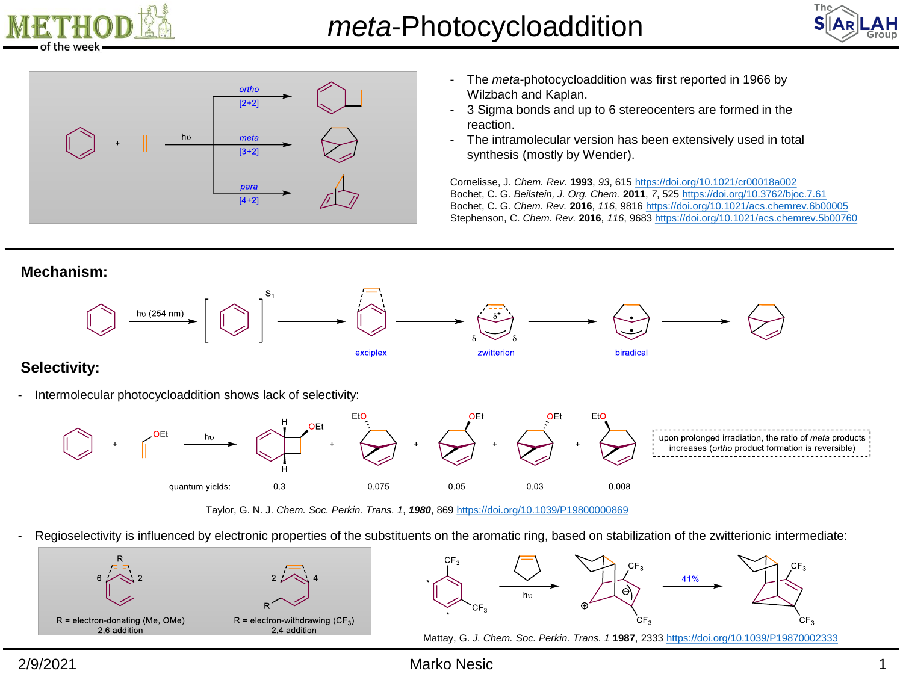





- The *meta-*photocycloaddition was first reported in 1966 by Wilzbach and Kaplan.
- 3 Sigma bonds and up to 6 stereocenters are formed in the reaction.
- The intramolecular version has been extensively used in total synthesis (mostly by Wender).

Cornelisse, J. *Chem. Rev.* **1993**, *93*, 615<https://doi.org/10.1021/cr00018a002> Bochet, C. G. *Beilstein, J. Org. Chem.* **2011**, *7*, 525 <https://doi.org/10.3762/bjoc.7.61> Bochet, C. G. *Chem. Rev.* **2016**, *116*, 9816 <https://doi.org/10.1021/acs.chemrev.6b00005> Stephenson, C. *Chem. Rev.* **2016**, *116*, 9683<https://doi.org/10.1021/acs.chemrev.5b00760>











## **Selectivity:**

Intermolecular photocycloaddition shows lack of selectivity:



Taylor, G. N. J. *Chem. Soc. Perkin. Trans. 1*, *1980*, 869 <https://doi.org/10.1039/P19800000869>

- Regioselectivity is influenced by electronic properties of the substituents on the aromatic ring, based on stabilization of the zwitterionic intermediate:



## 2/9/2021 Marko Nesic 1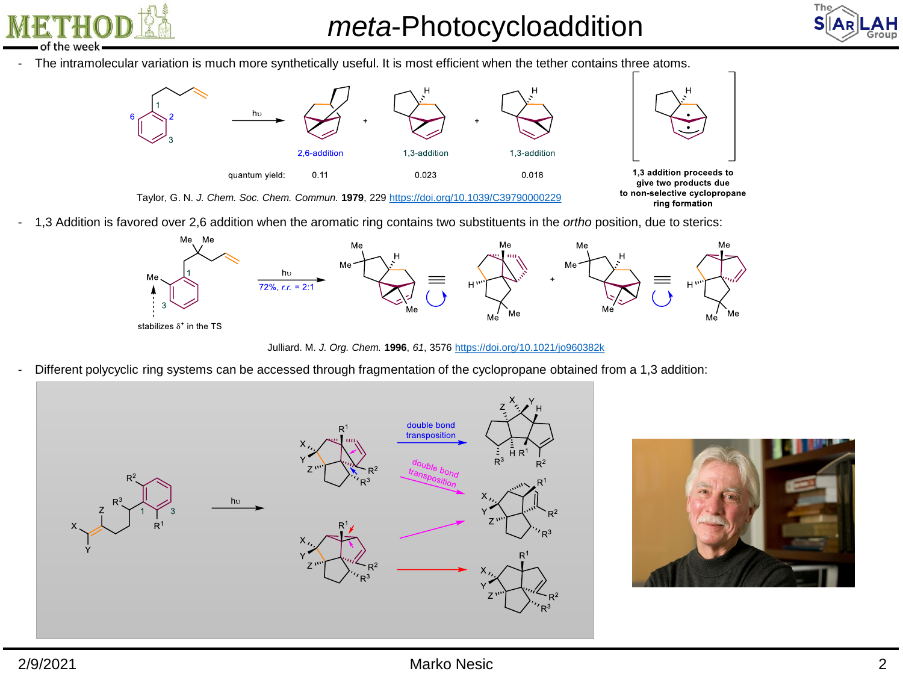the week

*meta*-Photocycloaddition



- The intramolecular variation is much more synthetically useful. It is most efficient when the tether contains three atoms.



- 1,3 Addition is favored over 2,6 addition when the aromatic ring contains two substituents in the *ortho* position, due to sterics:



Julliard. M. *J. Org. Chem.* **1996**, *61*, 3576 <https://doi.org/10.1021/jo960382k>

- Different polycyclic ring systems can be accessed through fragmentation of the cyclopropane obtained from a 1,3 addition:



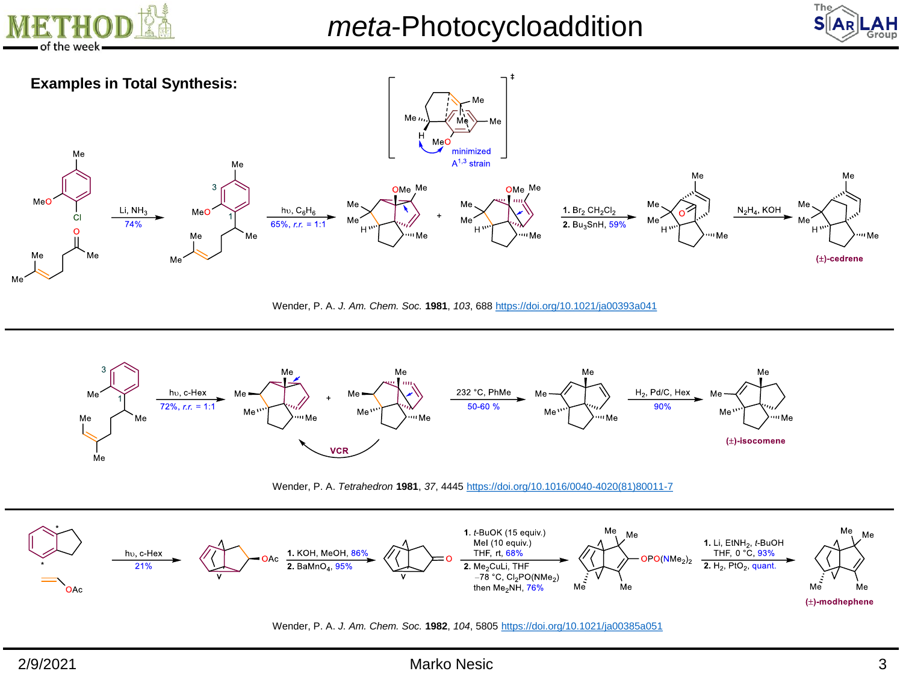





Wender, P. A. *J. Am. Chem. Soc.* **1981**, *103*, 688 <https://doi.org/10.1021/ja00393a041>



Wender, P. A. *Tetrahedron* **1981**, *37*, 4445 [https://doi.org/10.1016/0040-4020\(81\)80011-7](https://doi.org/10.1016/0040-4020(81)80011-7)



Wender, P. A. *J. Am. Chem. Soc.* **1982**, *104*, 5805 <https://doi.org/10.1021/ja00385a051>